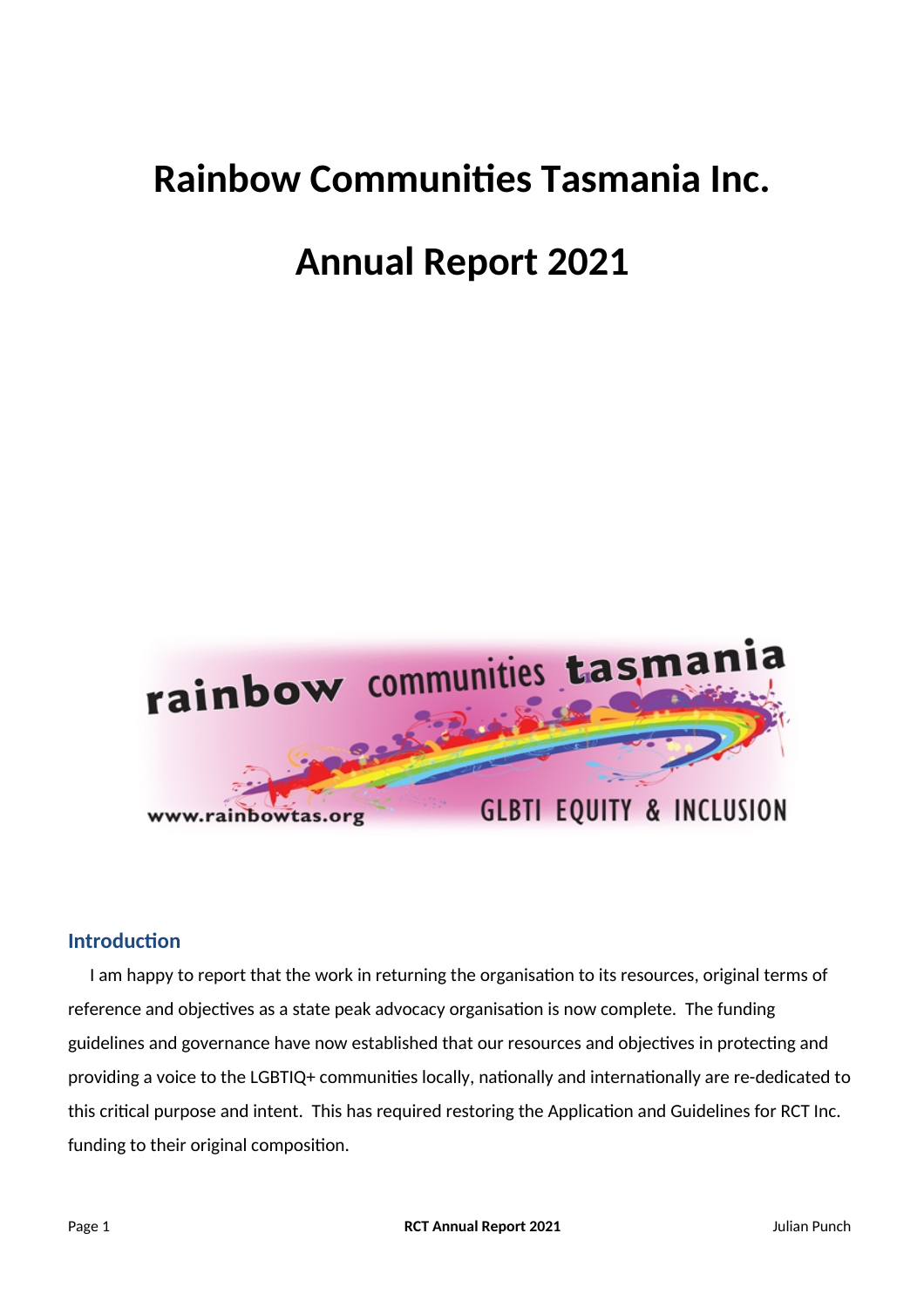## **Rainbow Communites Tasmania Inc.**

# **Annual Report 2021**



### **Introduction**

I am happy to report that the work in returning the organisation to its resources, original terms of reference and objectives as a state peak advocacy organisation is now complete. The funding guidelines and governance have now established that our resources and objectives in protecting and providing a voice to the LGBTIQ+ communities locally, nationally and internationally are re-dedicated to this critical purpose and intent. This has required restoring the Application and Guidelines for RCT Inc. funding to their original compositon.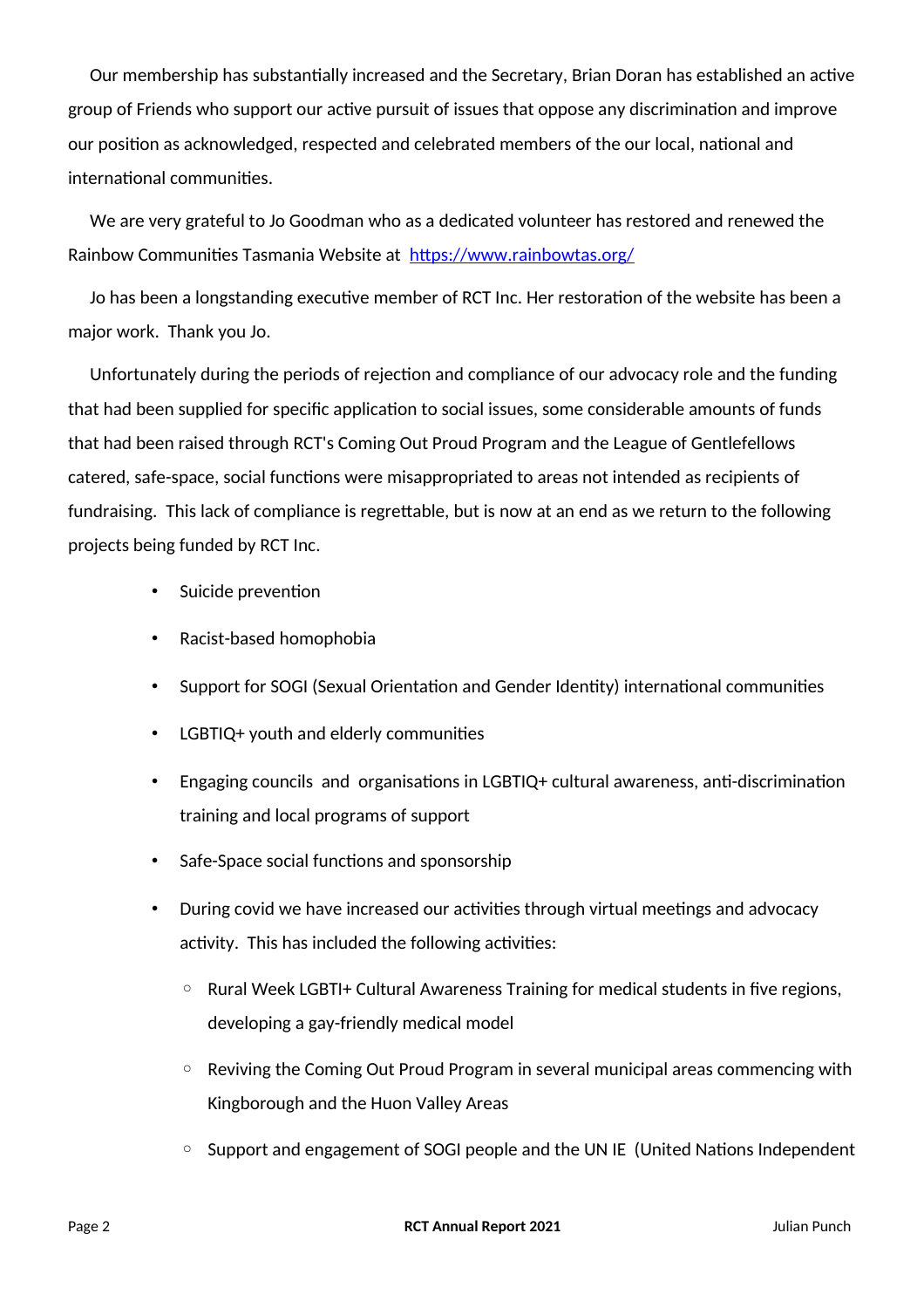Our membership has substantially increased and the Secretary, Brian Doran has established an active group of Friends who support our active pursuit of issues that oppose any discrimination and improve our position as acknowledged, respected and celebrated members of the our local, national and international communities.

We are very grateful to Jo Goodman who as a dedicated volunteer has restored and renewed the Rainbow Communities Tasmania Website at https://www.rainbowtas.org/

Jo has been a longstanding executive member of RCT Inc. Her restoration of the website has been a major work. Thank you Jo.

Unfortunately during the periods of rejection and compliance of our advocacy role and the funding that had been supplied for specific application to social issues, some considerable amounts of funds that had been raised through RCT's Coming Out Proud Program and the League of Gentlefellows catered, safe-space, social functions were misappropriated to areas not intended as recipients of fundraising. This lack of compliance is regrettable, but is now at an end as we return to the following projects being funded by RCT Inc.

- Suicide prevention
- Racist-based homophobia
- Support for SOGI (Sexual Orientation and Gender Identity) international communities
- LGBTIQ+ youth and elderly communities
- Engaging councils and organisations in LGBTIQ+ cultural awareness, anti-discrimination training and local programs of support
- Safe-Space social functions and sponsorship
- During covid we have increased our activities through virtual meetings and advocacy activity. This has included the following activities:
	- Rural Week LGBTI+ Cultural Awareness Training for medical students in fve regions, developing a gay-friendly medical model
	- Reviving the Coming Out Proud Program in several municipal areas commencing with Kingborough and the Huon Valley Areas
	- Support and engagement of SOGI people and the UN IE (United Natons Independent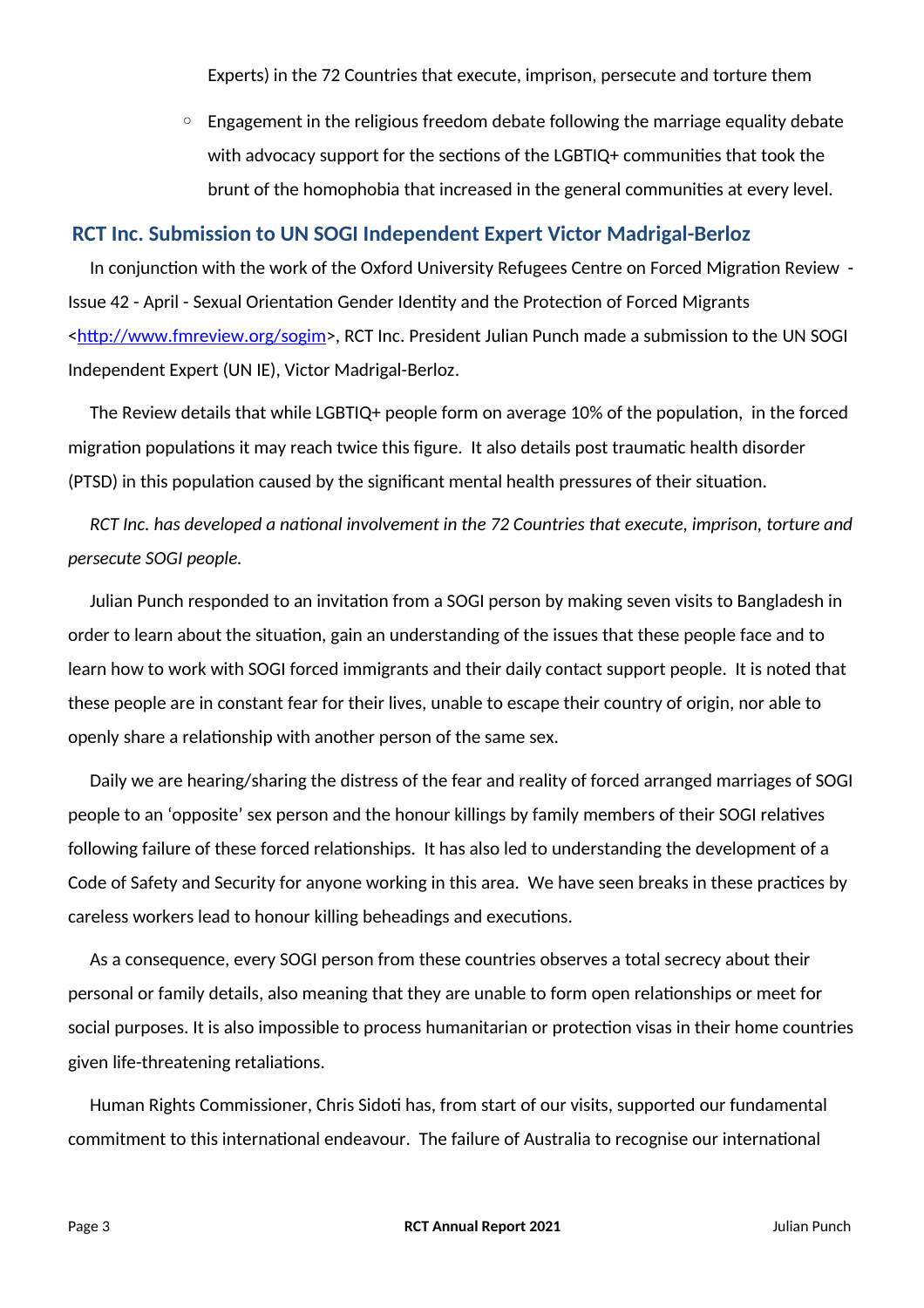Experts) in the 72 Countries that execute, imprison, persecute and torture them

 $\circ$  Engagement in the religious freedom debate following the marriage equality debate with advocacy support for the sections of the LGBTIQ+ communities that took the brunt of the homophobia that increased in the general communites at every level.

#### **RCT Inc. Submission to UN SOGI Independent Expert Victor Madrigal-Berloz**

In conjunction with the work of the Oxford University Refugees Centre on Forced Migration Review -Issue 42 - April - Sexual Orientation Gender Identity and the Protection of Forced Migrants [<htp://www.fmreview.org/sogim>](http://www.fmreview.org/sogim), RCT Inc. President Julian Punch made a submission to the UN SOGI Independent Expert (UN IE), Victor Madrigal-Berloz.

The Review details that while LGBTIQ+ people form on average 10% of the population, in the forced migration populations it may reach twice this figure. It also details post traumatic health disorder (PTSD) in this populaton caused by the signifcant mental health pressures of their situaton.

*RCT Inc. has developed a natonal involvement in the 72 Countries that execute, imprison, torture and persecute SOGI people.*

Julian Punch responded to an invitation from a SOGI person by making seven visits to Bangladesh in order to learn about the situation, gain an understanding of the issues that these people face and to learn how to work with SOGI forced immigrants and their daily contact support people. It is noted that these people are in constant fear for their lives, unable to escape their country of origin, nor able to openly share a relatonship with another person of the same sex.

Daily we are hearing/sharing the distress of the fear and reality of forced arranged marriages of SOGI people to an 'opposite' sex person and the honour killings by family members of their SOGI relatves following failure of these forced relationships. It has also led to understanding the development of a Code of Safety and Security for anyone working in this area. We have seen breaks in these practices by careless workers lead to honour killing beheadings and executons.

As a consequence, every SOGI person from these countries observes a total secrecy about their personal or family details, also meaning that they are unable to form open relationships or meet for social purposes. It is also impossible to process humanitarian or protection visas in their home countries given life-threatening retaliatons.

Human Rights Commissioner, Chris Sidoti has, from start of our visits, supported our fundamental commitment to this internatonal endeavour. The failure of Australia to recognise our internatonal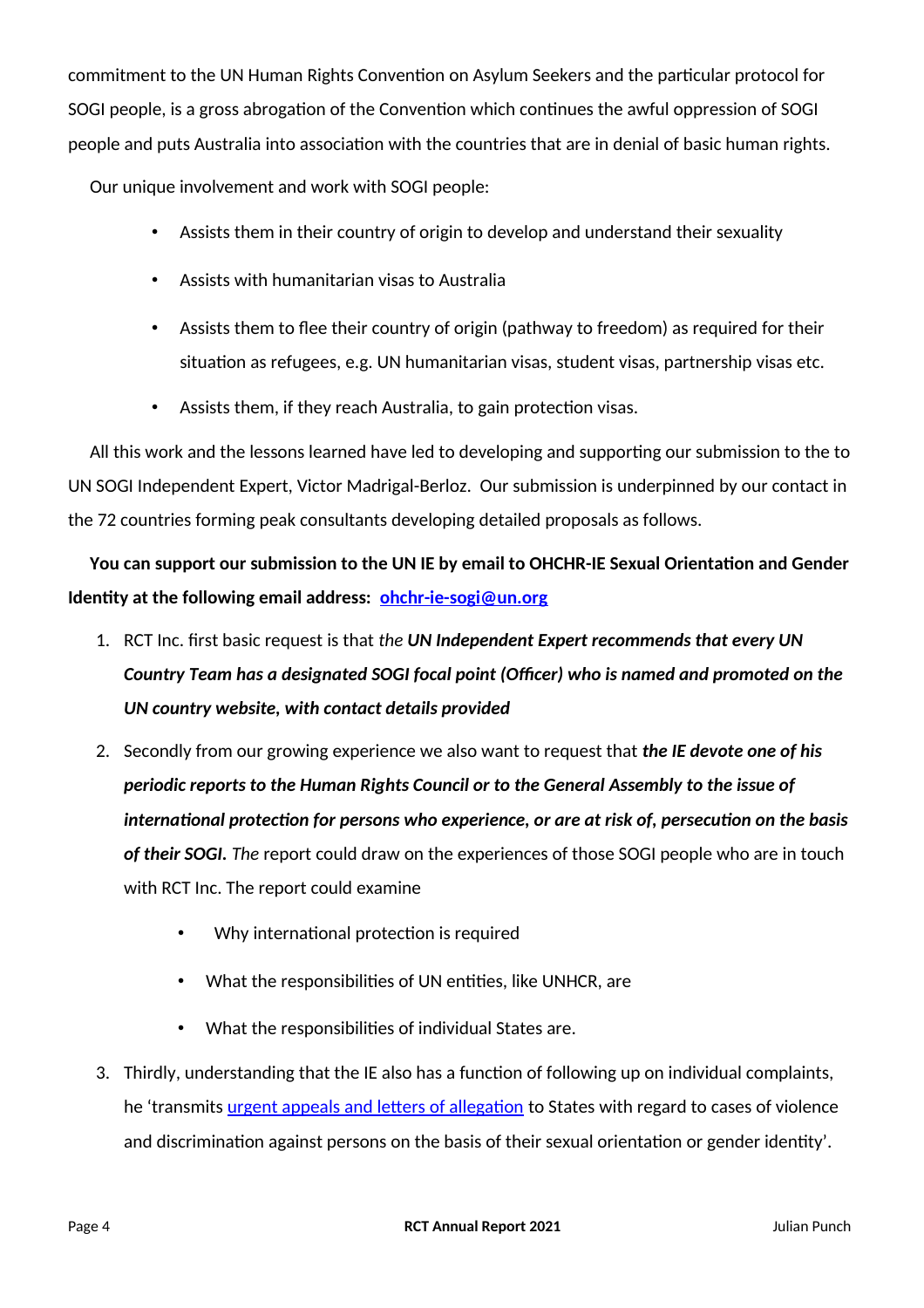commitment to the UN Human Rights Convention on Asylum Seekers and the particular protocol for SOGI people, is a gross abrogation of the Convention which continues the awful oppression of SOGI people and puts Australia into association with the countries that are in denial of basic human rights.

Our unique involvement and work with SOGI people:

- Assists them in their country of origin to develop and understand their sexuality
- Assists with humanitarian visas to Australia
- Assists them to flee their country of origin (pathway to freedom) as required for their situation as refugees, e.g. UN humanitarian visas, student visas, partnership visas etc.
- Assists them, if they reach Australia, to gain protection visas.

All this work and the lessons learned have led to developing and supportng our submission to the to UN SOGI Independent Expert, Victor Madrigal-Berloz. Our submission is underpinned by our contact in the 72 countries forming peak consultants developing detailed proposals as follows.

You can support our submission to the UN IE by email to OHCHR-IE Sexual Orientation and Gender **Identty at the following email address: [ohchr-ie-sogi@un.org](mailto:ohchr-ie-sogi@un.org)**

- 1. RCT Inc. frst basic request is that *the UN Independent Expert recommends that every UN Country Team has a designated SOGI focal point (Officer) who is named and promoted on the UN country website, with contact details provided*
- 2. Secondly from our growing experience we also want to request that *the IE devote one of his periodic reports to the Human Rights Council or to the General Assembly to the issue of internatonal protecton for persons who experience, or are at risk of, persecuton on the basis of their SOGI. The* report could draw on the experiences of those SOGI people who are in touch with RCT Inc. The report could examine
	- Why international protection is required
	- What the responsibilities of UN entities, like UNHCR, are
	- What the responsibilities of individual States are.
- 3. Thirdly, understanding that the IE also has a functon of following up on individual complaints, he 'transmits urgent appeals and letters of allegation to States with regard to cases of violence and discrimination against persons on the basis of their sexual orientation or gender identity'.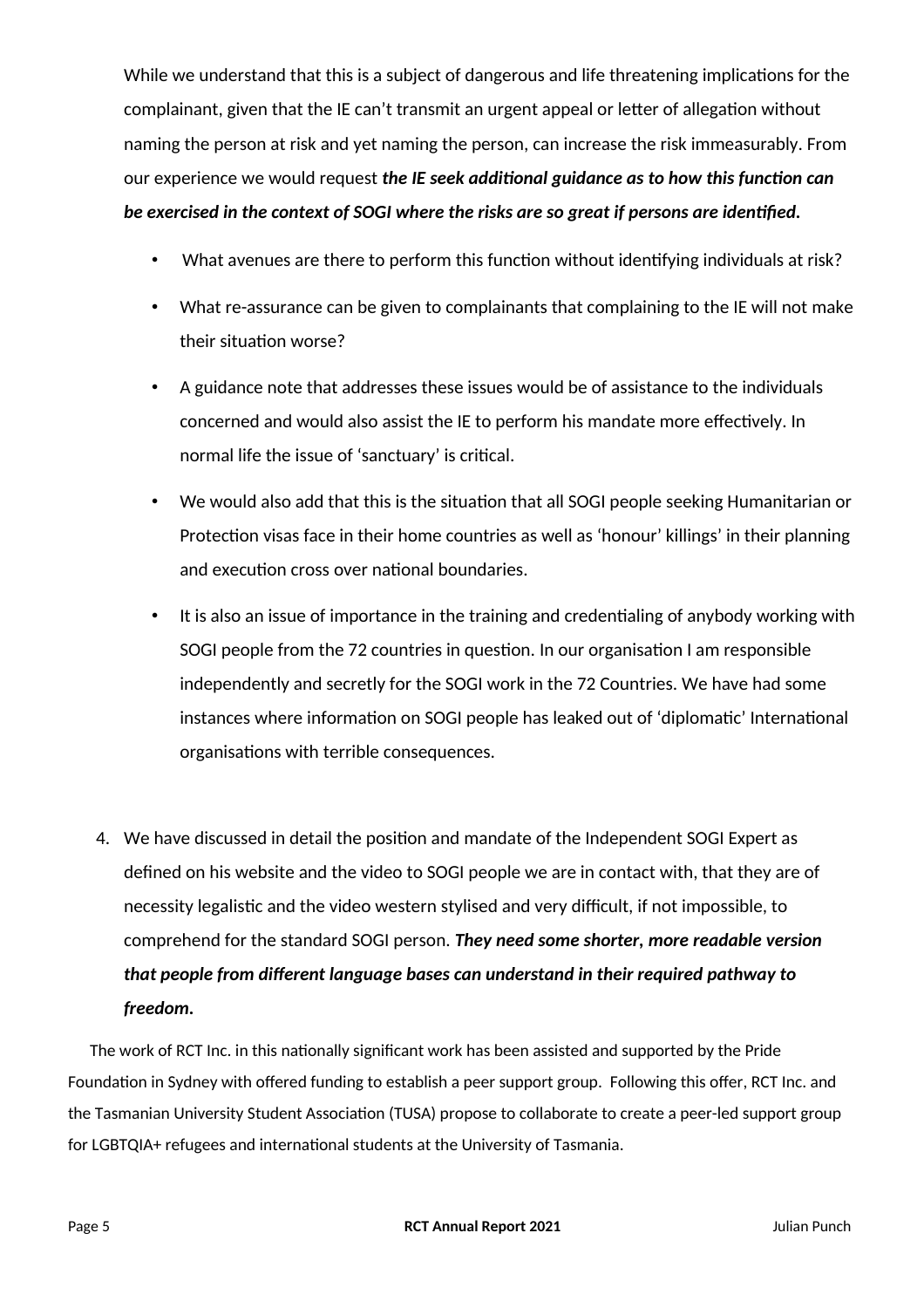While we understand that this is a subject of dangerous and life threatening implications for the complainant, given that the IE can't transmit an urgent appeal or letter of allegation without naming the person at risk and yet naming the person, can increase the risk immeasurably. From our experience we would request *the IE seek additonal guidance as to how this functon can be exercised in the context of SOGI where the risks are so great if persons are identfed.*

- What avenues are there to perform this function without identifying individuals at risk?
- What re-assurance can be given to complainants that complaining to the IE will not make their situation worse?
- A guidance note that addresses these issues would be of assistance to the individuals concerned and would also assist the IE to perform his mandate more effectively. In normal life the issue of 'sanctuary' is critical.
- We would also add that this is the situaton that all SOGI people seeking Humanitarian or Protection visas face in their home countries as well as 'honour' killings' in their planning and execution cross over national boundaries.
- It is also an issue of importance in the training and credentaling of anybody working with SOGI people from the 72 countries in question. In our organisation I am responsible independently and secretly for the SOGI work in the 72 Countries. We have had some instances where information on SOGI people has leaked out of 'diplomatic' International organisations with terrible consequences.
- 4. We have discussed in detail the positon and mandate of the Independent SOGI Expert as defned on his website and the video to SOGI people we are in contact with, that they are of necessity legalistic and the video western stylised and very difficult, if not impossible, to comprehend for the standard SOGI person. *They need some shorter, more readable version that people from diferent language bases can understand in their required pathway to freedom.*

The work of RCT Inc. in this nationally significant work has been assisted and supported by the Pride Foundation in Sydney with offered funding to establish a peer support group. Following this offer, RCT Inc. and the Tasmanian University Student Association (TUSA) propose to collaborate to create a peer-led support group for LGBTQIA+ refugees and international students at the University of Tasmania.